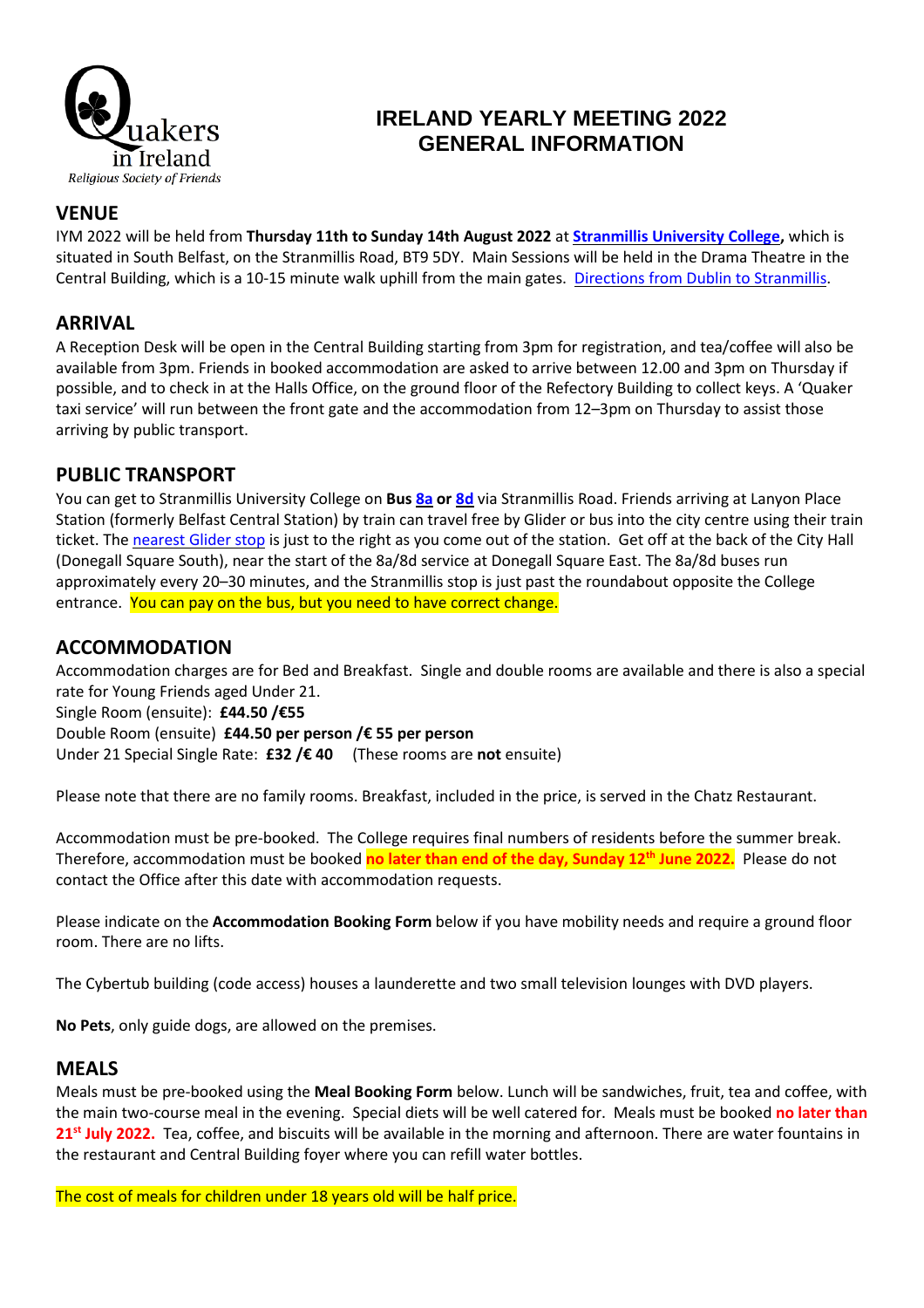

# **IRELAND YEARLY MEETING 2022 GENERAL INFORMATION**

### **VENUE**

IYM 2022 will be held from **Thursday 11th to Sunday 14th August 2022** at **[Stranmillis](https://goo.gl/maps/krew1U8YuJnKwobW8) University College,** which is situated in South Belfast, on the Stranmillis Road, BT9 5DY. Main Sessions will be held in the Drama Theatre in the Central Building, which is a 10-15 minute walk uphill from the main gates. Directions from Dublin to [Stranmillis.](https://goo.gl/maps/KgD3HQyjSRgDFdkV6)

#### **ARRIVAL**

A Reception Desk will be open in the Central Building starting from 3pm for registration, and tea/coffee will also be available from 3pm. Friends in booked accommodation are asked to arrive between 12.00 and 3pm on Thursday if possible, and to check in at the Halls Office, on the ground floor of the Refectory Building to collect keys. A 'Quaker taxi service' will run between the front gate and the accommodation from 12–3pm on Thursday to assist those arriving by public transport.

#### **PUBLIC TRANSPORT**

You can get to Stranmillis University College on **Bus [8a](https://bustimes.org/services/8a-city-centre-stranmillis-malone-erinvale) or [8d](https://bustimes.org/services/8d-city-centre-stranmillis)** via Stranmillis Road. Friends arriving at Lanyon Place Station (formerly Belfast Central Station) by train can travel free by Glider or bus into the city centre using their train ticket. The [nearest](https://goo.gl/maps/BwC92BYvtLeYDiBNA) Glider stop is just to the right as you come out of the station. Get off at the back of the City Hall (Donegall Square South), near the start of the 8a/8d service at Donegall Square East. The 8a/8d buses run approximately every 20–30 minutes, and the Stranmillis stop is just past the roundabout opposite the College entrance. You can pay on the bus, but you need to have correct change.

### **ACCOMMODATION**

Accommodation charges are for Bed and Breakfast. Single and double rooms are available and there is also a special rate for Young Friends aged Under 21.

Single Room (ensuite): **£44.50 /€55**

Double Room (ensuite) **£44.50 per person /€ 55 per person** Under 21 Special Single Rate: **£32 /€ 40** (These rooms are **not** ensuite)

Please note that there are no family rooms. Breakfast, included in the price, is served in the Chatz Restaurant.

Accommodation must be pre-booked. The College requires final numbers of residents before the summer break. Therefore, accommodation must be booked **no later than end of the day, Sunday 12 th June 2022.** Please do not contact the Office after this date with accommodation requests.

Please indicate on the **Accommodation Booking Form** below if you have mobility needs and require a ground floor room. There are no lifts.

The Cybertub building (code access) houses a launderette and two small television lounges with DVD players.

**No Pets**, only guide dogs, are allowed on the premises.

#### **MEALS**

Meals must be pre-booked using the **Meal Booking Form** below. Lunch will be sandwiches, fruit, tea and coffee, with the main two-course meal in the evening. Special diets will be well catered for. Meals must be booked **no later than 21st July 2022.** Tea, coffee, and biscuits will be available in the morning and afternoon. There are water fountains in the restaurant and Central Building foyer where you can refill water bottles.

The cost of meals for children under 18 years old will be half price.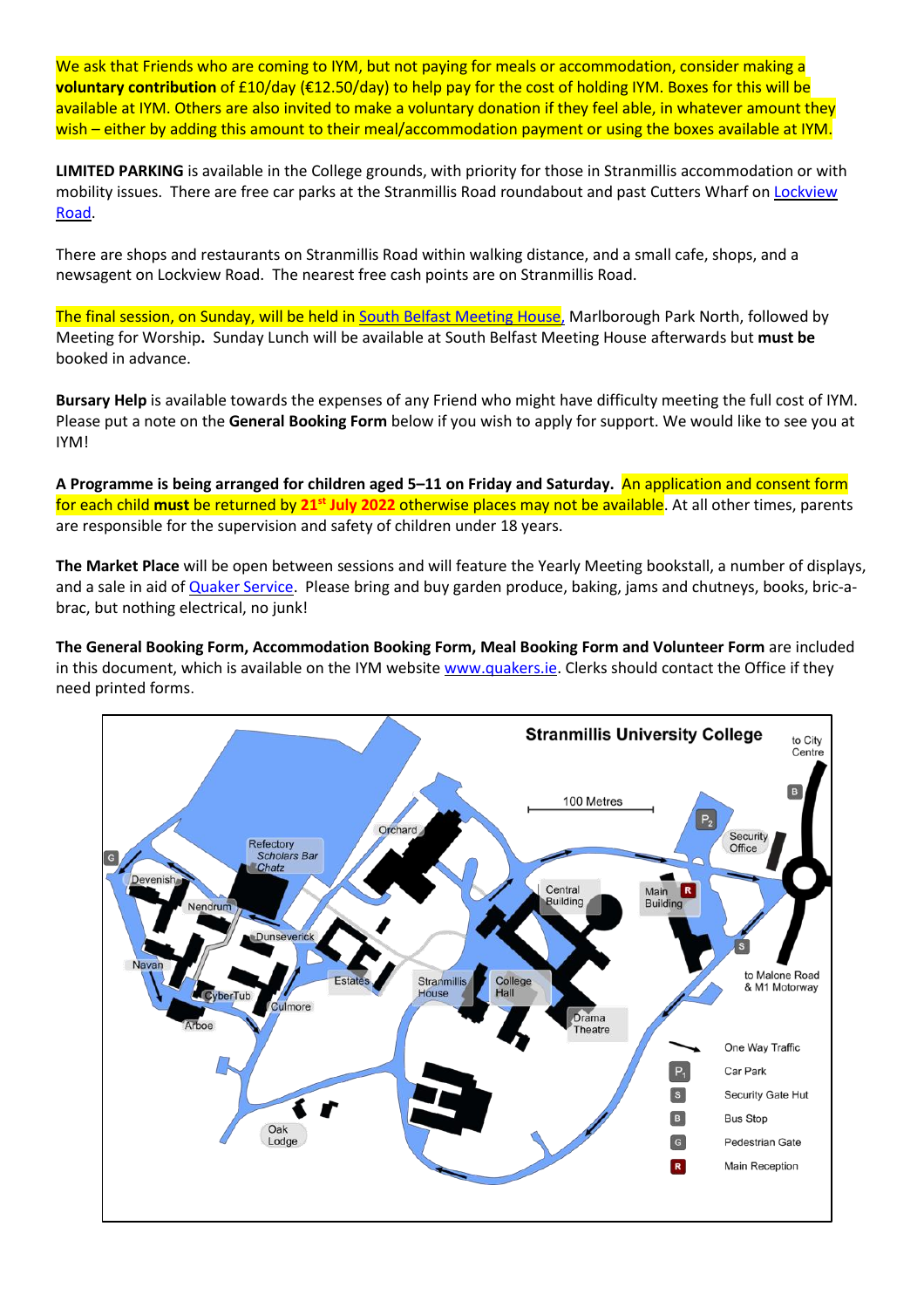We ask that Friends who are coming to IYM, but not paying for meals or accommodation, consider making a **voluntary contribution** of £10/day (€12.50/day) to help pay for the cost of holding IYM. Boxes for this will be available at IYM. Others are also invited to make a voluntary donation if they feel able, in whatever amount they wish – either by adding this amount to their meal/accommodation payment or using the boxes available at IYM.

**LIMITED PARKING** is available in the College grounds, with priority for those in Stranmillis accommodation or with mobility issues. There are free car parks at the Stranmillis Road roundabout and past Cutters Wharf on [Lockview](https://goo.gl/maps/wqdd17pwKcei345bA) [Road.](https://goo.gl/maps/wqdd17pwKcei345bA)

There are shops and restaurants on Stranmillis Road within walking distance, and a small cafe, shops, and a newsagent on Lockview Road. The nearest free cash points are on Stranmillis Road.

The final session, on Sunday, will be held in South Belfast [Meeting](https://goo.gl/maps/b7rvaZ1XUuYsWYDD9) House, Marlborough Park North, followed by Meeting for Worship**.** Sunday Lunch will be available at South Belfast Meeting House afterwards but **must be** booked in advance.

**Bursary Help** is available towards the expenses of any Friend who might have difficulty meeting the full cost of IYM. Please put a note on the **General Booking Form** below if you wish to apply for support. We would like to see you at IYM!

**A Programme is being arranged for children aged 5–11 on Friday and Saturday.** An application and consent form for each child **must** be returned by **21st July 2022** otherwise places may not be available. At all other times, parents are responsible for the supervision and safety of children under 18 years.

**The Market Place** will be open between sessions and will feature the Yearly Meeting bookstall, a number of displays, and a sale in aid of Quaker [Service.](http://www.quakerservice.com/Quaker_Service/Welcome.html) Please bring and buy garden produce, baking, jams and chutneys, books, bric-abrac, but nothing electrical, no junk!

**The General Booking Form, Accommodation Booking Form, Meal Booking Form and Volunteer Form** are included in this document, which is available on the IYM website [www.quakers.ie.](http://www.quakers.ie/) Clerks should contact the Office if they need printed forms.

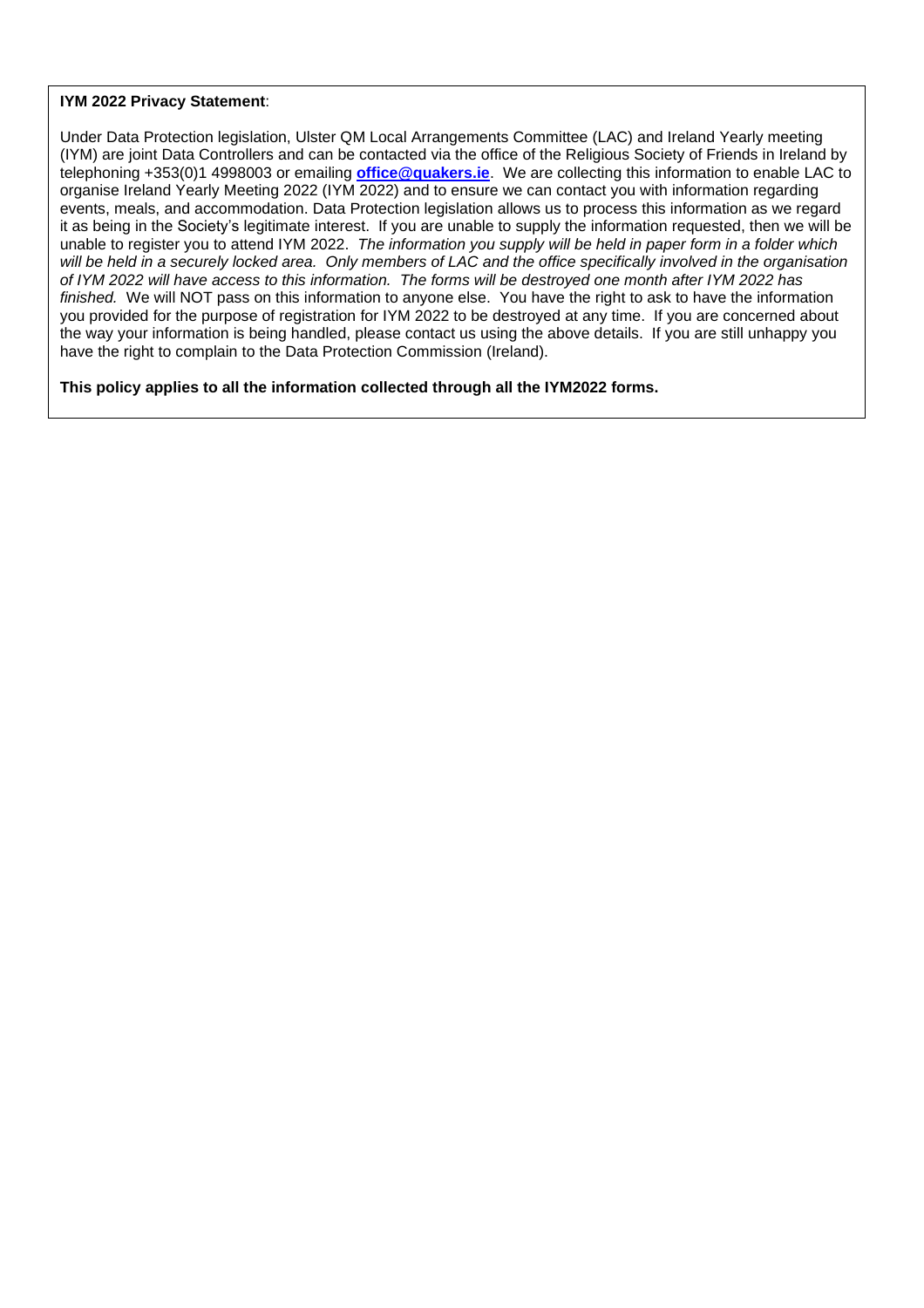#### **IYM 2022 Privacy Statement**:

Under Data Protection legislation, Ulster QM Local Arrangements Committee (LAC) and Ireland Yearly meeting (IYM) are joint Data Controllers and can be contacted via the office of the Religious Society of Friends in Ireland by telephoning +353(0)1 4998003 or emailing **[office@quakers.ie](mailto:office@quakers.ie)**. We are collecting this information to enable LAC to organise Ireland Yearly Meeting 2022 (IYM 2022) and to ensure we can contact you with information regarding events, meals, and accommodation. Data Protection legislation allows us to process this information as we regard it as being in the Society's legitimate interest. If you are unable to supply the information requested, then we will be unable to register you to attend IYM 2022. *The information you supply will be held in paper form in a folder which* will be held in a securely locked area. Only members of LAC and the office specifically involved in the organisation of IYM 2022 will have access to this information. The forms will be destroyed one month after IYM 2022 has *finished.* We will NOT pass on this information to anyone else. You have the right to ask to have the information you provided for the purpose of registration for IYM 2022 to be destroyed at any time. If you are concerned about the way your information is being handled, please contact us using the above details. If you are still unhappy you have the right to complain to the Data Protection Commission (Ireland).

**This policy applies to all the information collected through all the IYM2022 forms.**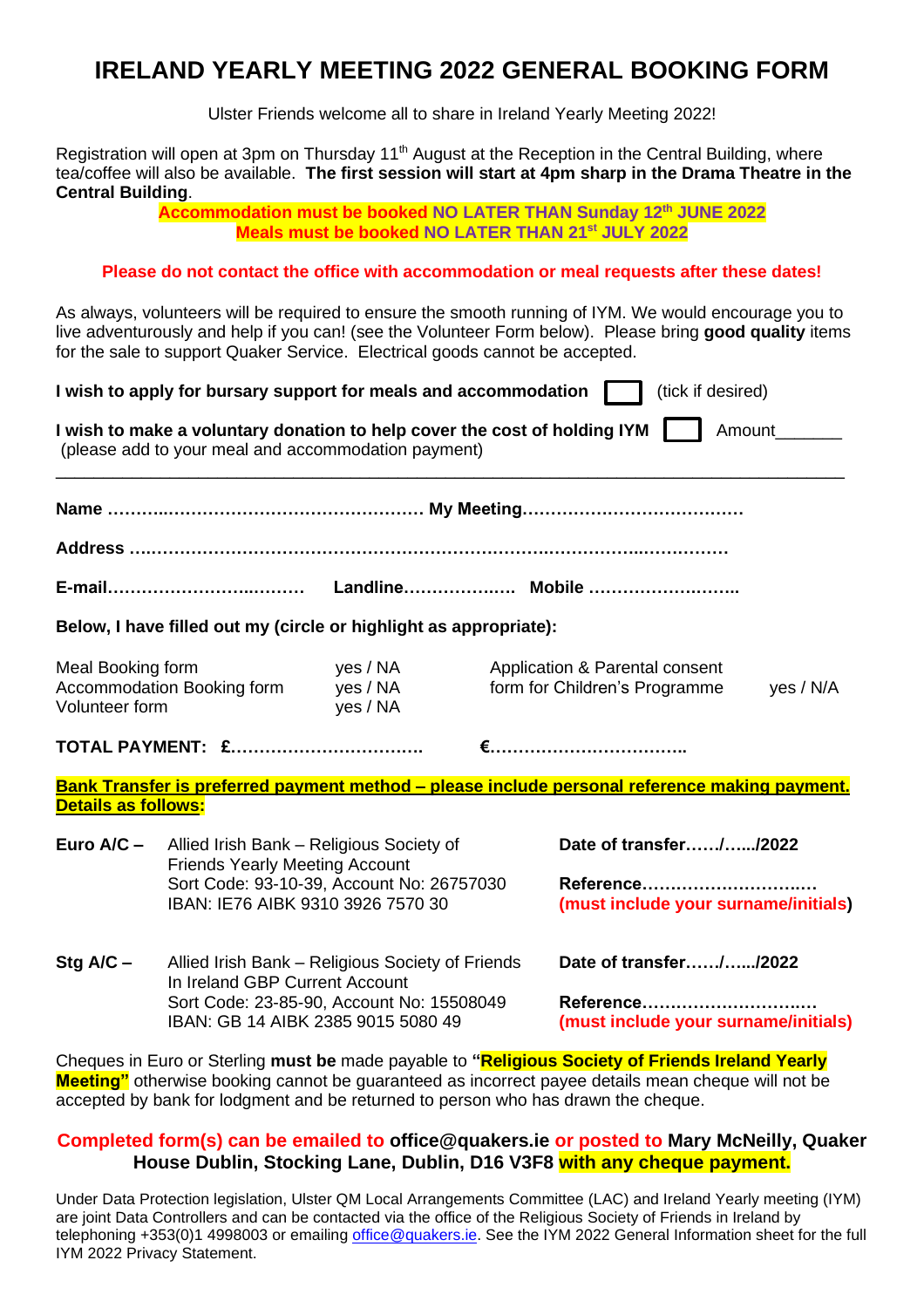# **IRELAND YEARLY MEETING 2022 GENERAL BOOKING FORM**

Ulster Friends welcome all to share in Ireland Yearly Meeting 2022!

Registration will open at 3pm on Thursday 11<sup>th</sup> August at the Reception in the Central Building, where tea/coffee will also be available. **The first session will start at 4pm sharp in the Drama Theatre in the Central Building**.

> **Accommodation must be booked NO LATER THAN Sunday 12th JUNE 2022 Meals must be booked NO LATER THAN 21st JULY 2022**

#### **Please do not contact the office with accommodation or meal requests after these dates!**

As always, volunteers will be required to ensure the smooth running of IYM. We would encourage you to live adventurously and help if you can! (see the Volunteer Form below). Please bring **good quality** items for the sale to support Quaker Service. Electrical goods cannot be accepted.

|                                     | I wish to apply for bursary support for meals and accommodation                                                                                                       |                                  | (tick if desired)                                                                             |  |  |
|-------------------------------------|-----------------------------------------------------------------------------------------------------------------------------------------------------------------------|----------------------------------|-----------------------------------------------------------------------------------------------|--|--|
|                                     | I wish to make a voluntary donation to help cover the cost of holding IYM<br>(please add to your meal and accommodation payment)                                      |                                  | Amount                                                                                        |  |  |
|                                     |                                                                                                                                                                       |                                  |                                                                                               |  |  |
|                                     |                                                                                                                                                                       |                                  |                                                                                               |  |  |
|                                     |                                                                                                                                                                       |                                  |                                                                                               |  |  |
|                                     | Below, I have filled out my (circle or highlight as appropriate):                                                                                                     |                                  |                                                                                               |  |  |
| Meal Booking form<br>Volunteer form | Accommodation Booking form                                                                                                                                            | yes / NA<br>yes / NA<br>yes / NA | Application & Parental consent<br>form for Children's Programme<br>yes / N/A                  |  |  |
|                                     | <b>TOTAL PAYMENT: £</b>                                                                                                                                               |                                  |                                                                                               |  |  |
| Details as follows:                 |                                                                                                                                                                       |                                  | Bank Transfer is preferred payment method - please include personal reference making payment. |  |  |
| Euro A/C -                          | Allied Irish Bank - Religious Society of<br><b>Friends Yearly Meeting Account</b><br>Sort Code: 93-10-39, Account No: 26757030<br>IBAN: IE76 AIBK 9310 3926 7570 30   |                                  | Date of transfer//2022<br>Reference<br>(must include your surname/initials)                   |  |  |
| Stg $A/C -$                         | Allied Irish Bank - Religious Society of Friends<br>In Ireland GBP Current Account<br>Sort Code: 23-85-90, Account No: 15508049<br>IBAN: GB 14 AIBK 2385 9015 5080 49 |                                  | Date of transfer//2022<br>Reference<br>(must include your surname/initials)                   |  |  |

Cheques in Euro or Sterling **must be** made payable to **"Religious Society of Friends Ireland Yearly Meeting"** otherwise booking cannot be guaranteed as incorrect payee details mean cheque will not be accepted by bank for lodgment and be returned to person who has drawn the cheque.

#### **Completed form(s) can be emailed to [office@quakers.ie](mailto:office@quakers.ie) or posted to Mary McNeilly, Quaker House Dublin, Stocking Lane, Dublin, D16 V3F8 with any cheque payment.**

Under Data Protection legislation, Ulster QM Local Arrangements Committee (LAC) and Ireland Yearly meeting (IYM) are joint Data Controllers and can be contacted via the office of the Religious Society of Friends in Ireland by telephoning +353(0)1 4998003 or emailing [office@quakers.ie.](mailto:office@quakers.ie) See the IYM 2022 General Information sheet for the full IYM 2022 Privacy Statement.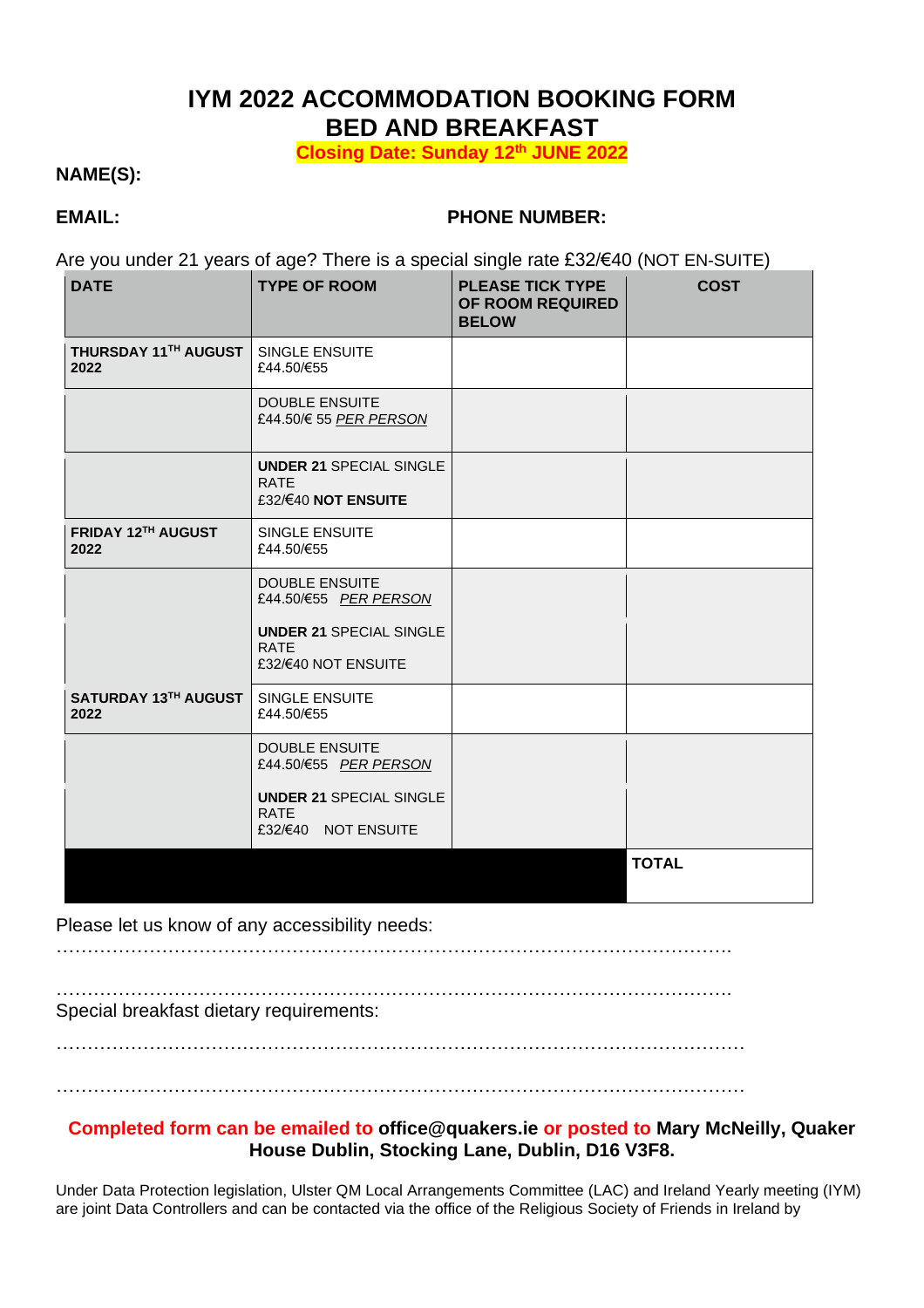# **IYM 2022 ACCOMMODATION BOOKING FORM BED AND BREAKFAST**

**Closing Date: Sunday 12th JUNE 2022**

### **NAME(S):**

### **EMAIL: PHONE NUMBER:**

Are you under 21 years of age? There is a special single rate £32/€40 (NOT EN-SUITE)

| <b>DATE</b>                  | <b>TYPE OF ROOM</b>                                                                              | <b>PLEASE TICK TYPE</b><br>OF ROOM REQUIRED<br><b>BELOW</b> | <b>COST</b>  |
|------------------------------|--------------------------------------------------------------------------------------------------|-------------------------------------------------------------|--------------|
| THURSDAY 11TH AUGUST<br>2022 | <b>SINGLE ENSUITE</b><br>£44.50/€55                                                              |                                                             |              |
|                              | <b>DOUBLE ENSUITE</b><br>£44.50/€ 55 PER PERSON<br><b>UNDER 21 SPECIAL SINGLE</b><br><b>RATE</b> |                                                             |              |
|                              | £32/€40 NOT ENSUITE                                                                              |                                                             |              |
| FRIDAY 12TH AUGUST<br>2022   | <b>SINGLE ENSUITE</b><br>£44.50/€55                                                              |                                                             |              |
|                              | <b>DOUBLE ENSUITE</b><br>£44.50/€55 PER PERSON                                                   |                                                             |              |
|                              | <b>UNDER 21 SPECIAL SINGLE</b><br><b>RATE</b><br>£32/€40 NOT ENSUITE                             |                                                             |              |
| SATURDAY 13TH AUGUST<br>2022 | <b>SINGLE ENSUITE</b><br>£44.50/€55                                                              |                                                             |              |
|                              | <b>DOUBLE ENSUITE</b><br>£44.50/€55 PER PERSON                                                   |                                                             |              |
|                              | <b>UNDER 21 SPECIAL SINGLE</b><br><b>RATE</b><br>£32/€40 NOT ENSUITE                             |                                                             |              |
|                              |                                                                                                  |                                                             | <b>TOTAL</b> |

#### Please let us know of any accessibility needs:

……………………………………………………………………………………………….

……………………………………………………………………………………………….

Special breakfast dietary requirements:

…………………………………………………………………………………………………

…………………………………………………………………………………………………

#### **Completed form can be emailed to [office@quakers.ie](mailto:office@quakers.ie) or posted to Mary McNeilly, Quaker House Dublin, Stocking Lane, Dublin, D16 V3F8.**

Under Data Protection legislation, Ulster QM Local Arrangements Committee (LAC) and Ireland Yearly meeting (IYM) are joint Data Controllers and can be contacted via the office of the Religious Society of Friends in Ireland by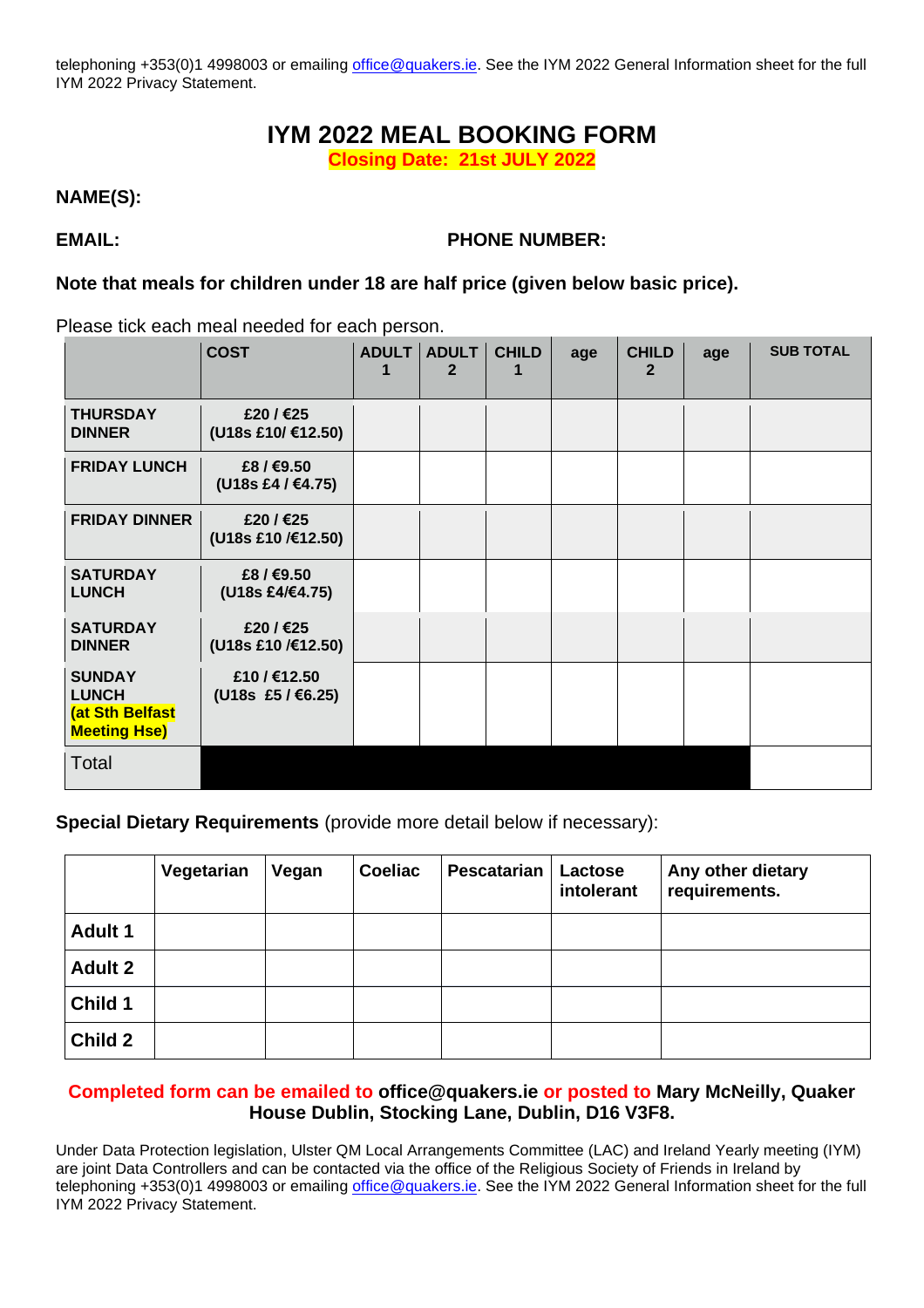telephoning +353(0)1 4998003 or emailing [office@quakers.ie.](mailto:office@quakers.ie) See the IYM 2022 General Information sheet for the full IYM 2022 Privacy Statement.

# **IYM 2022 MEAL BOOKING FORM**

**Closing Date: 21st JULY 2022**

**NAME(S):**

#### **EMAIL: PHONE NUMBER:**

#### **Note that meals for children under 18 are half price (given below basic price).**

Please tick each meal needed for each person.

|                                                                         | <b>COST</b>                   | ADULT ADULT<br>$\mathbf{2}$ | <b>CHILD</b> | age | <b>CHILD</b><br>$\mathbf{2}$ | age | <b>SUB TOTAL</b> |
|-------------------------------------------------------------------------|-------------------------------|-----------------------------|--------------|-----|------------------------------|-----|------------------|
| <b>THURSDAY</b><br><b>DINNER</b>                                        | £20/€25<br>(U18s £10/ €12.50) |                             |              |     |                              |     |                  |
| <b>FRIDAY LUNCH</b>                                                     | £8/€9.50<br>(U18s £4 / €4.75) |                             |              |     |                              |     |                  |
| <b>FRIDAY DINNER</b>                                                    | £20/€25<br>(U18s £10 /€12.50) |                             |              |     |                              |     |                  |
| <b>SATURDAY</b><br><b>LUNCH</b>                                         | £8/€9.50<br>(U18s £4/€4.75)   |                             |              |     |                              |     |                  |
| <b>SATURDAY</b><br><b>DINNER</b>                                        | £20/€25<br>(U18s £10 /€12.50) |                             |              |     |                              |     |                  |
| <b>SUNDAY</b><br><b>LUNCH</b><br>(at Sth Belfast<br><b>Meeting Hse)</b> | £10/€12.50<br>(U18s £5/€6.25) |                             |              |     |                              |     |                  |
| Total                                                                   |                               |                             |              |     |                              |     |                  |

**Special Dietary Requirements** (provide more detail below if necessary):

|                | Vegetarian | Vegan | <b>Coeliac</b> | Pescatarian | Lactose<br>intolerant | Any other dietary<br>requirements. |
|----------------|------------|-------|----------------|-------------|-----------------------|------------------------------------|
| <b>Adult 1</b> |            |       |                |             |                       |                                    |
| <b>Adult 2</b> |            |       |                |             |                       |                                    |
| Child 1        |            |       |                |             |                       |                                    |
| <b>Child 2</b> |            |       |                |             |                       |                                    |

#### **Completed form can be emailed to [office@quakers.ie](mailto:office@quakers.ie) or posted to Mary McNeilly, Quaker House Dublin, Stocking Lane, Dublin, D16 V3F8.**

Under Data Protection legislation, Ulster QM Local Arrangements Committee (LAC) and Ireland Yearly meeting (IYM) are joint Data Controllers and can be contacted via the office of the Religious Society of Friends in Ireland by telephoning +353(0)1 4998003 or emailing [office@quakers.ie.](mailto:office@quakers.ie) See the IYM 2022 General Information sheet for the full IYM 2022 Privacy Statement.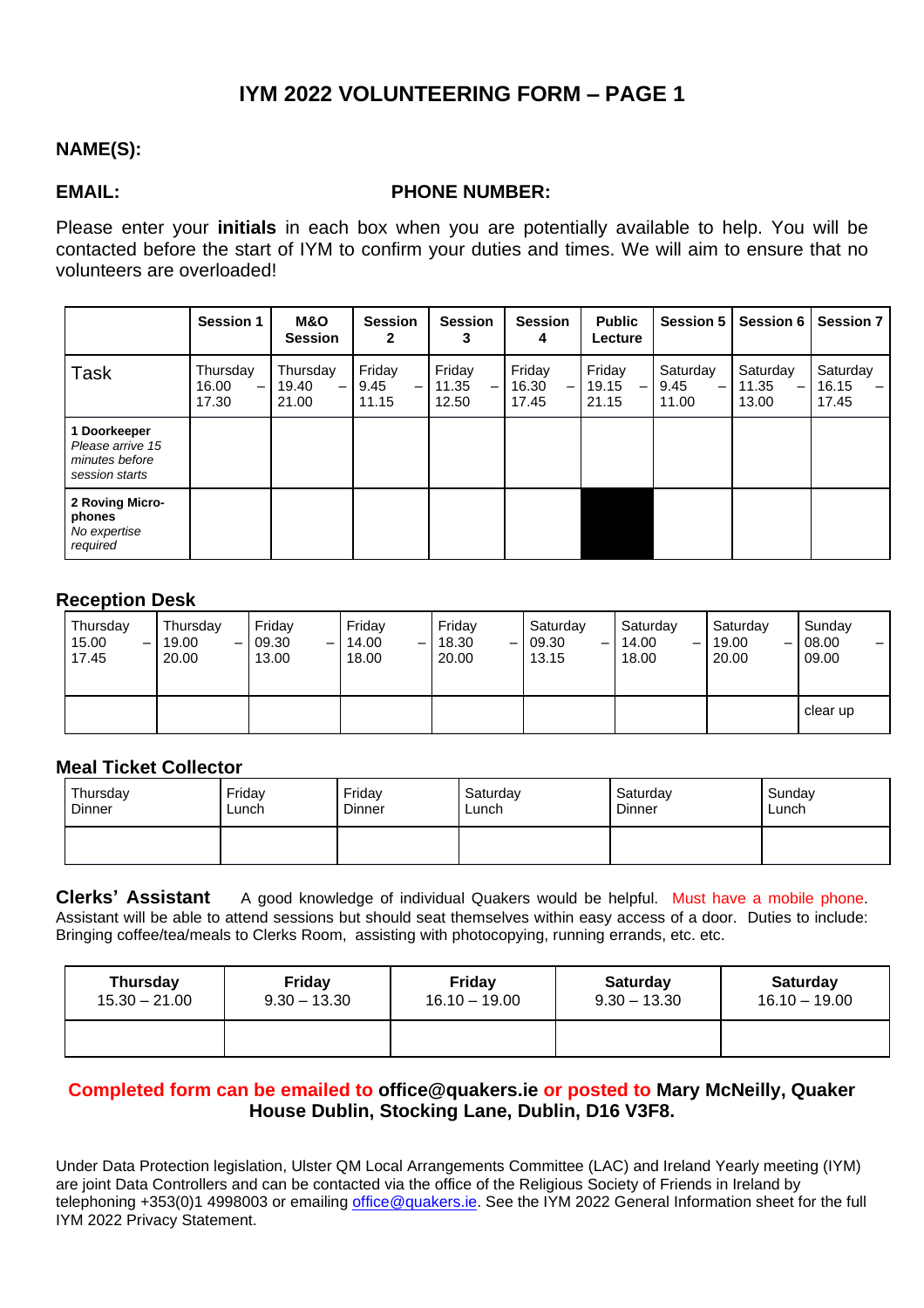## **IYM 2022 VOLUNTEERING FORM – PAGE 1**

### **NAME(S):**

#### **EMAIL: PHONE NUMBER:**

Please enter your **initials** in each box when you are potentially available to help. You will be contacted before the start of IYM to confirm your duties and times. We will aim to ensure that no volunteers are overloaded!

|                                                                      | <b>Session 1</b>                | <b>M&amp;O</b><br><b>Session</b>                       | <b>Session</b><br>2     | <b>Session</b><br>3           | <b>Session</b><br>4      | <b>Public</b><br>Lecture | <b>Session 5</b>                                      | Session 6                                              | <b>Session 7</b>           |
|----------------------------------------------------------------------|---------------------------------|--------------------------------------------------------|-------------------------|-------------------------------|--------------------------|--------------------------|-------------------------------------------------------|--------------------------------------------------------|----------------------------|
| <b>Task</b>                                                          | Thursday<br>16.00<br>—<br>17.30 | Thursday<br>19.40<br>$\overline{\phantom{0}}$<br>21.00 | Friday<br>9.45<br>11.15 | Friday<br>11.35<br>—<br>12.50 | Friday<br>16.30<br>17.45 | Friday<br>19.15<br>21.15 | Saturday<br>9.45<br>$\overline{\phantom{0}}$<br>11.00 | Saturday<br>11.35<br>$\overline{\phantom{0}}$<br>13.00 | Saturday<br>16.15<br>17.45 |
| 1 Doorkeeper<br>Please arrive 15<br>minutes before<br>session starts |                                 |                                                        |                         |                               |                          |                          |                                                       |                                                        |                            |
| 2 Roving Micro-<br>phones<br>No expertise<br>required                |                                 |                                                        |                         |                               |                          |                          |                                                       |                                                        |                            |

#### **Reception Desk**

| Thursday<br>15.00<br>$\overline{\phantom{0}}$<br>17.45 | Thursday<br>19.00<br>—<br>20.00 | Friday<br>09.30<br>-<br>13.00 | Friday<br>14.00<br>-<br>18.00 | Friday<br>18.30<br>$\overline{\phantom{m}}$<br>20.00 | Saturday<br>09.30<br>$-1$<br>13.15 | Saturday<br>14.00<br>—<br>18.00 | Saturday<br>19.00<br>-<br>20.00 | Sunday<br>08.00<br>09.00 |
|--------------------------------------------------------|---------------------------------|-------------------------------|-------------------------------|------------------------------------------------------|------------------------------------|---------------------------------|---------------------------------|--------------------------|
|                                                        |                                 |                               |                               |                                                      |                                    |                                 |                                 | clear up                 |

#### **Meal Ticket Collector**

| Thursday | Friday | Friday | Saturday | Saturday | Sunday |
|----------|--------|--------|----------|----------|--------|
| Dinner   | Lunch  | Dinner | Lunch    | Dinner   | Lunch  |
|          |        |        |          |          |        |

**Clerks' Assistant** A good knowledge of individual Quakers would be helpful. Must have a mobile phone. Assistant will be able to attend sessions but should seat themselves within easy access of a door. Duties to include: Bringing coffee/tea/meals to Clerks Room, assisting with photocopying, running errands, etc. etc.

| Thursday        | Friday         | <b>Friday</b>   | <b>Saturday</b> | <b>Saturday</b> |
|-----------------|----------------|-----------------|-----------------|-----------------|
| $15.30 - 21.00$ | $9.30 - 13.30$ | $16.10 - 19.00$ | $9.30 - 13.30$  | $16.10 - 19.00$ |
|                 |                |                 |                 |                 |

#### **Completed form can be emailed to [office@quakers.ie](mailto:office@quakers.ie) or posted to Mary McNeilly, Quaker House Dublin, Stocking Lane, Dublin, D16 V3F8.**

Under Data Protection legislation, Ulster QM Local Arrangements Committee (LAC) and Ireland Yearly meeting (IYM) are joint Data Controllers and can be contacted via the office of the Religious Society of Friends in Ireland by telephoning +353(0)1 4998003 or emailing [office@quakers.ie.](mailto:office@quakers.ie) See the IYM 2022 General Information sheet for the full IYM 2022 Privacy Statement.